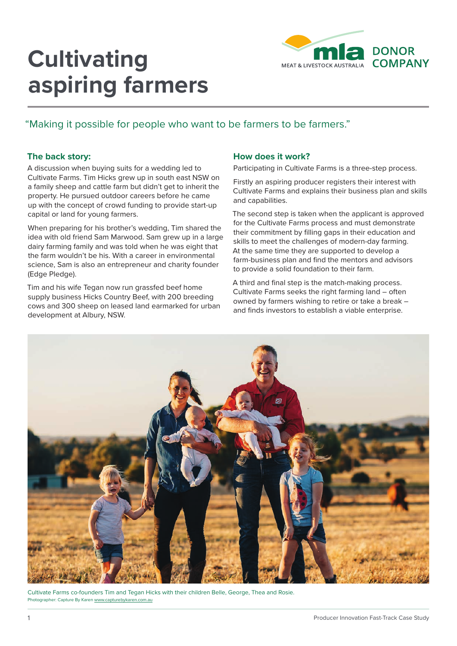# **Cultivating aspiring farmers**



## "Making it possible for people who want to be farmers to be farmers."

### **The back story:**

A discussion when buying suits for a wedding led to Cultivate Farms. Tim Hicks grew up in south east NSW on a family sheep and cattle farm but didn't get to inherit the property. He pursued outdoor careers before he came up with the concept of crowd funding to provide start-up capital or land for young farmers.

When preparing for his brother's wedding, Tim shared the idea with old friend Sam Marwood. Sam grew up in a large dairy farming family and was told when he was eight that the farm wouldn't be his. With a career in environmental science, Sam is also an entrepreneur and charity founder (Edge Pledge).

Tim and his wife Tegan now run grassfed beef home supply business Hicks Country Beef, with 200 breeding cows and 300 sheep on leased land earmarked for urban development at Albury, NSW.

#### **How does it work?**

Participating in Cultivate Farms is a three-step process.

Firstly an aspiring producer registers their interest with Cultivate Farms and explains their business plan and skills and capabilities.

The second step is taken when the applicant is approved for the Cultivate Farms process and must demonstrate their commitment by filling gaps in their education and skills to meet the challenges of modern-day farming. At the same time they are supported to develop a farm-business plan and find the mentors and advisors to provide a solid foundation to their farm.

A third and final step is the match-making process. Cultivate Farms seeks the right farming land – often owned by farmers wishing to retire or take a break – and finds investors to establish a viable enterprise.



Cultivate Farms co-founders Tim and Tegan Hicks with their children Belle, George, Thea and Rosie. Photographer: Capture By Karen www.capturebykaren.com.au